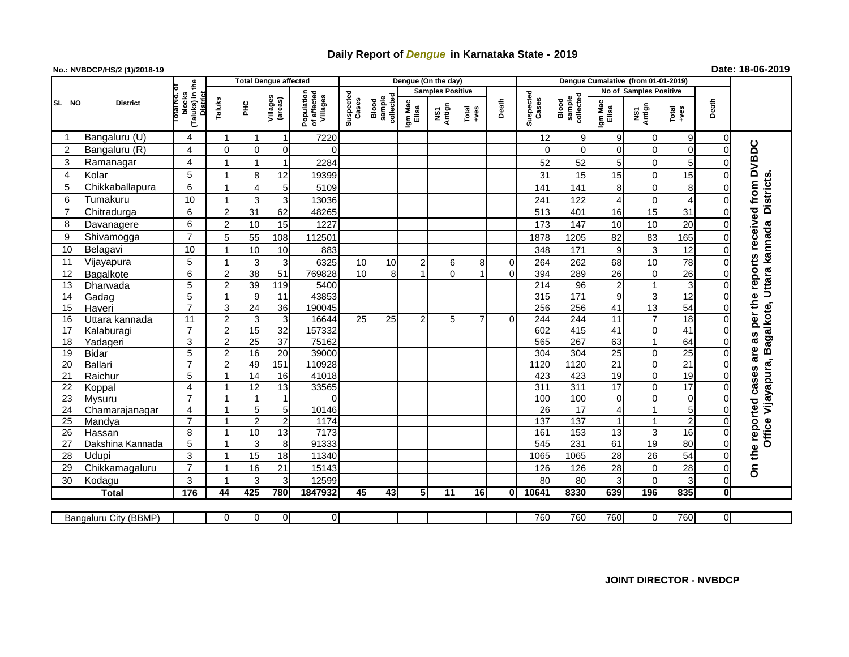## **Daily Report of** *Dengue* **in Karnataka State - 2019**

## **No.: NVBDCP/HS/2 (1)/2018-19 Date: 18-06-2019**

|                |       | <b>District</b>       |                                                   |                |                | <b>Total Dengue affected</b> |                                       |                    |                              |                  | Dengue (On the day)     |                 |       |                             |                     |                        |                |                 |                |                                                                     |
|----------------|-------|-----------------------|---------------------------------------------------|----------------|----------------|------------------------------|---------------------------------------|--------------------|------------------------------|------------------|-------------------------|-----------------|-------|-----------------------------|---------------------|------------------------|----------------|-----------------|----------------|---------------------------------------------------------------------|
|                |       |                       |                                                   |                |                |                              |                                       | Suspected<br>Cases |                              |                  | <b>Samples Positive</b> |                 |       | Suspected<br>Cases<br>Blood |                     | No of Samples Positive |                |                 |                |                                                                     |
|                | SL NO |                       | (Taluks) in the<br>blocks<br>District<br>otal No. | Taluks         | ĔС             | Villages<br>(areas)          | Population<br>of affected<br>Villages |                    | collected<br>sample<br>Blood | Igm Mac<br>Elisa | NS1<br>Antign           | Total<br>$-ves$ | Death |                             | sample<br>collected | Igm Mac<br>Elisa       | NS1<br>Antign  | Total<br>+ves   | Death          |                                                                     |
|                |       | Bangaluru (U)         | 4                                                 |                |                |                              | 7220                                  |                    |                              |                  |                         |                 |       | 12                          | 9                   | 9                      | 0              | 9               | $\mathbf 0$    |                                                                     |
| 2              |       | Bangaluru (R)         | $\overline{4}$                                    | $\Omega$       | $\overline{0}$ | $\overline{0}$               | $\Omega$                              |                    |                              |                  |                         |                 |       | $\mathbf 0$                 | $\mathbf 0$         | $\Omega$               | $\Omega$       | 0               | $\mathbf 0$    |                                                                     |
| 3              |       | Ramanagar             | $\overline{\mathbf{4}}$                           |                |                |                              | 2284                                  |                    |                              |                  |                         |                 |       | 52                          | 52                  | 5                      | $\Omega$       | 5               | 0              |                                                                     |
| 4              |       | Kolar                 | 5                                                 |                | 8 <sup>1</sup> | 12                           | 19399                                 |                    |                              |                  |                         |                 |       | 31                          | 15                  | 15                     | $\mathbf 0$    | 15              | $\Omega$       |                                                                     |
| 5              |       | Chikkaballapura       | 6                                                 |                | 4              | 5                            | 5109                                  |                    |                              |                  |                         |                 |       | 141                         | 141                 | 8                      | $\Omega$       | 8               | $\Omega$       |                                                                     |
| 6              |       | Tumakuru              | 10                                                |                | 3              | 3                            | 13036                                 |                    |                              |                  |                         |                 |       | 241                         | 122                 | 4                      | $\Omega$       | 4               | $\Omega$       | <b>Districts</b>                                                    |
| $\overline{7}$ |       | Chitradurga           | 6                                                 | $\overline{2}$ | 31             | 62                           | 48265                                 |                    |                              |                  |                         |                 |       | 513                         | 401                 | 16                     | 15             | 31              | $\Omega$       |                                                                     |
| 8              |       | Davanagere            | 6                                                 | $\overline{2}$ | 10             | 15                           | 1227                                  |                    |                              |                  |                         |                 |       | 173                         | 147                 | 10                     | 10             | 20              | $\Omega$       |                                                                     |
| 9              |       | Shivamogga            | $\overline{7}$                                    | 5 <sup>5</sup> | 55             | 108                          | 112501                                |                    |                              |                  |                         |                 |       | 1878                        | 1205                | 82                     | 83             | 165             | $\Omega$       | received from DVBDC<br>Office Vijayapura, Bagalkote, Uttara kannada |
| 10             |       | Belagavi              | 10                                                |                | 10             | 10                           | 883                                   |                    |                              |                  |                         |                 |       | 348                         | 171                 | 9                      | 3              | 12              | $\Omega$       |                                                                     |
| 11             |       | Vijayapura            | 5                                                 |                | $\overline{3}$ | 3                            | 6325                                  | 10                 | 10                           | $\overline{2}$   | 6                       | 8               | 0     | 264                         | 262                 | 68                     | 10             | 78              | $\mathbf 0$    | reports                                                             |
| 12             |       | Bagalkote             | 6                                                 | $\overline{2}$ | 38             | 51                           | 769828                                | 10                 | 8                            | $\mathbf{1}$     | $\overline{0}$          | $\mathbf 1$     | 0     | 394                         | 289                 | 26                     | 0              | $\overline{26}$ | $\mathbf 0$    |                                                                     |
| 13             |       | Dharwada              | $\overline{5}$                                    | $\overline{2}$ | 39             | 119                          | 5400                                  |                    |                              |                  |                         |                 |       | 214                         | $\overline{96}$     | $\overline{2}$         |                | 3               | $\Omega$       |                                                                     |
| 14             |       | Gadag                 | $\overline{5}$                                    |                | 9              | 11                           | 43853                                 |                    |                              |                  |                         |                 |       | 315                         | $171$               | 9                      | 3              | 12              | $\overline{0}$ |                                                                     |
| 15             |       | Haveri                | $\overline{7}$                                    | 3              | 24             | $\overline{36}$              | 190045                                |                    |                              |                  |                         |                 |       | 256                         | 256                 | 41                     | 13             | 54              | $\pmb{0}$      |                                                                     |
| 16             |       | Uttara kannada        | 11                                                | $\overline{a}$ | 3 <sup>1</sup> | 3                            | 16644                                 | 25                 | 25                           | $\overline{2}$   | 5                       | $\overline{7}$  | 0     | 244                         | 244                 | $\overline{11}$        | $\overline{7}$ | $\overline{18}$ | $\overline{0}$ | per the                                                             |
| 17             |       | Kalaburagi            | $\overline{7}$                                    | $\mathcal{P}$  | 15             | $\overline{32}$              | 157332                                |                    |                              |                  |                         |                 |       | 602                         | 415                 | 41                     | $\Omega$       | $\overline{41}$ | $\mathbf{0}$   |                                                                     |
| 18             |       | Yadageri              | $\overline{3}$                                    | $\overline{2}$ | 25             | 37                           | 75162                                 |                    |                              |                  |                         |                 |       | 565                         | 267                 | 63                     |                | 64              | $\mathbf{0}$   | as                                                                  |
| 19             |       | <b>Bidar</b>          | 5                                                 | $\overline{a}$ | 16             | $\overline{20}$              | 39000                                 |                    |                              |                  |                         |                 |       | 304                         | 304                 | $\overline{25}$        | $\mathbf 0$    | $\overline{25}$ | $\mathbf 0$    | are                                                                 |
| 20             |       | <b>Ballari</b>        | $\overline{7}$                                    | $\overline{2}$ | 49             | 151                          | 110928                                |                    |                              |                  |                         |                 |       | 1120                        | 1120                | $\overline{21}$        | $\mathbf 0$    | $\overline{21}$ | $\Omega$       |                                                                     |
| 21             |       | Raichur               | 5                                                 |                | 14             | 16                           | 41018                                 |                    |                              |                  |                         |                 |       | 423                         | 423                 | 19                     | $\Omega$       | $\overline{19}$ | $\overline{0}$ | cases                                                               |
| 22             |       | Koppal                | $\overline{\mathbf{4}}$                           |                | 12             | 13                           | 33565                                 |                    |                              |                  |                         |                 |       | 311                         | 311                 | $\overline{17}$        | $\Omega$       | $\overline{17}$ | $\Omega$       |                                                                     |
| 23             |       | <b>Mysuru</b>         | $\overline{7}$                                    |                |                | $\overline{1}$               | $\Omega$                              |                    |                              |                  |                         |                 |       | 100                         | 100                 | $\Omega$               | $\Omega$       | $\pmb{0}$       | $\Omega$       |                                                                     |
| 24             |       | Chamarajanagar        | $\overline{\mathbf{4}}$                           |                | 5 <sub>5</sub> | 5 <sup>1</sup>               | 10146                                 |                    |                              |                  |                         |                 |       | $\overline{26}$             | 17                  | 4                      |                | 5               | $\Omega$       |                                                                     |
| 25             |       | Mandya                | $\overline{7}$                                    |                | 2 <sup>1</sup> | $\overline{2}$               | 1174                                  |                    |                              |                  |                         |                 |       | 137                         | 137                 | 1                      |                | $\overline{c}$  | $\mathbf 0$    |                                                                     |
| 26             |       | Hassan                | 8                                                 |                | 10             | $\overline{13}$              | 7173                                  |                    |                              |                  |                         |                 |       | 161                         | 153                 | $\overline{13}$        | 3              | 16              | $\mathbf 0$    |                                                                     |
| 27             |       | Dakshina Kannada      | 5                                                 |                | 3 <sup>1</sup> | 8                            | 91333                                 |                    |                              |                  |                         |                 |       | 545                         | 231                 | 61                     | 19             | 80              | $\mathbf 0$    |                                                                     |
| 28             |       | Udupi                 | 3                                                 |                | 15             | 18                           | 11340                                 |                    |                              |                  |                         |                 |       | 1065                        | 1065                | 28                     | 26             | 54              | $\Omega$       | the reported                                                        |
| 29             |       | Chikkamagaluru        | $\overline{7}$                                    |                | 16             | 21                           | 15143                                 |                    |                              |                  |                         |                 |       | 126                         | 126                 | 28                     | $\Omega$       | 28              | $\Omega$       | δ                                                                   |
| 30             |       | Kodagu                | 3                                                 |                | $\overline{3}$ | 3                            | 12599                                 |                    |                              |                  |                         |                 |       | 80                          | 80                  | 3                      | $\Omega$       | 3               | $\mathbf 0$    |                                                                     |
|                |       | <b>Total</b>          | 176                                               | 44             | 425            | 780                          | 1847932                               | 45                 | 43                           | 5 <sub>1</sub>   | 11                      | 16              | 0     | 10641                       | 8330                | 639                    | 196            | 835             | $\mathbf{0}$   |                                                                     |
|                |       |                       |                                                   |                |                |                              |                                       |                    |                              |                  |                         |                 |       |                             |                     |                        |                |                 |                |                                                                     |
|                |       | Bangaluru City (BBMP) |                                                   | $\Omega$       | $\overline{0}$ | $\overline{0}$               | $\overline{0}$                        |                    |                              |                  |                         |                 |       | 760                         | 760                 | 760                    | 0              | 760             | $\overline{0}$ |                                                                     |